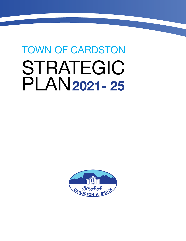# TOWN OF CARDSTON STRATEGIC PLAN**2021- 25**

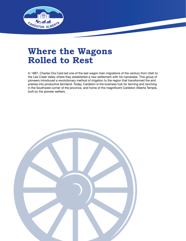

### **Where the Wagons Rolled to Rest**

In 1887, Charles Ora Card led one of the last wagon train migrations of the century from Utah to the Lee Creek Valley where they established a new settlement with his namesake. This group of pioneers introduced a revolutionary method of irrigation to the region that transformed the arid prairies into productive farmland. Today, Cardston is the business hub for farming and ranching in the Southwest corner of the province, and home of the magnificent Cardston Alberta Temple, built by the pioneer settlers.

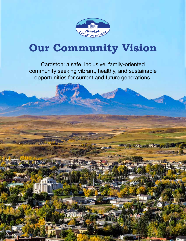

# **Our Community Vision**

Cardston: a safe, inclusive, family-oriented community seeking vibrant, healthy, and sustainable opportunities for current and future generations.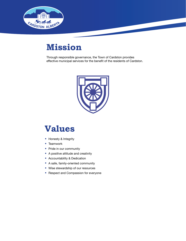

### **Mission**

Through responsible governance, the Town of Cardston provides effective municipal services for the benefit of the residents of Cardston.



### **Values**

- Honesty & Integrity
- Teamwork
- Pride in our community
- A positive attitude and creativity
- Accountability & Dedication
- A safe, family-oriented community
- Wise stewardship of our resources
- Respect and Compassion for everyone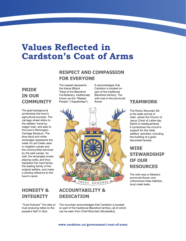### **Values Reflected in Cardston's Coat of Arms**

### **RESPECT AND COMPASSION FOR EVERYONE**

### **PRIDE IN OUR COMMUNITY**

The gold background symbolizes the town's agricultural success. The carriage wheel refers to the settlers' travel by wagon train, and also to the town's Remington Carriage Museum. The blue band and white rectangles represents the water of Lee Creek used in irrigation canals and the communities serviced by the said canals. As well, the rectangles evoke playing cards, and thus represent the Card family, the leading family of the original settlers, and make a canting reference to the town's name.

### **HONESTY & INTEGRITY**

"Trust Endures" The idea of trust enduring refers to the people's faith in God.

#### The weasel represents the Kainai (Blood Tribe) of the Blackfoot Confederacy, traditionally known as the "Weasel People" ("Aapaitsitapi").

It acknowledges that Cardston is located on part of the traditional Blackfoot territory. The wild rose is the provincial flower.



### **ACCOUNTABILITY & DEDICATION**

The mountain acknowledges that Cardston is located on part of the traditional Blackfoot territory, all of which can be seen from Chief Mountain (Ninaistako).

### **TEAMWORK**

The Rocky Mountain Elk is the state animal of Utah, where the Church of Jesus Christ of Latter-day Saints is headquartered. It symbolizes the church's support for the initial settlers' activities, including the building of a golddecorated temple.

### **WISE STEWARDSHIP OF OUR RESOURCES**

The wild rose is Alberta's provincial flower, and cottonwood trees stabilize local creek beds.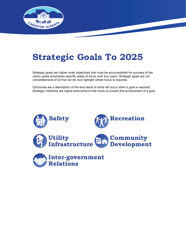

### **Strategic Goals To 2025**

Strategic goals are higher order objectives that must be accomplished for success of the vision; goals emphasize specific areas of focus over four years. Strategic goals are not comprehensive of all that we do, but highlight where focus is required.

Outcomes are a description of the end result of what will occur when a goal is reached. Strategic initiatives are higher-level actions that move us toward the achievement of a goal.

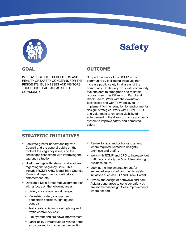

### **Safety**

#### **GOAL**

IMPROVE BOTH THE PERCEPTION AND REALITY OF SAFETY CONCERNS FOR THE RESIDENTS, BUSINESSES AND VISITORS THROUGHOUT ALL AREAS OF THE **COMMUNITY** 

#### **OUTCOME**

Support the work of the RCMP in the community by facilitating initiatives that increase public safety in all areas of the community. Continually work with community stakeholders to strengthen and maintain programs such as Citizens on Patrol and Block Parent. Work with the downtown businesses and with Town policy to implement "crime reduction by environmental design" strategies. Work with RCMP, CPO and volunteers to enhance visibility of enforcement in the downtown core and parks system to improve safety and perceived safety.

- Facilitate greater understanding with Council and the general public on the roots of the vagrancy issue, and the challenges associated with improving the vagrancy situation.
- Host meetings with relevant stakeholders regarding the vagrancy issue. This includes RCMP, AHS, Blood Tribe Council, Municipal department coordinators, enforcement, etc.
- Develop a Main Street redevelopment plan with a focus on the following areas:
	- \* Safety via environmental design;
	- \* Pedestrian safety via improved pedestrian corridors, lighting and controls;
	- $*$  Traffic safety via improved lighting and traffic control devices;
	- $*$  Fire hydrant and fire flows improvement;
	- $*$  Other utility / infrastructure related items as discussed in that respective section.
- Review bylaws and policy (and amend where required) related to unsightly premises and graffiti.
- Work with RCMP and CPO to increase foot traffic and visibility on Main Street during business hours.
- Look at the implementation and/or enhanced support of community safety initiatives such as COP and Block Parent.
- Review the design of pathways and park / playground areas to consider safety by environmental design. Seek improvements where needed.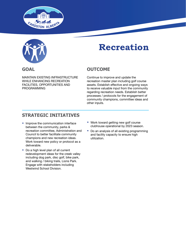



**GOAL**

### **Recreation**

### **OUTCOME**

MAINTAIN EXISTING INFRASTRUCTURE WHILE ENHANCING RECREATION FACILITIES, OPPORTUNITIES AND PROGRAMMING

Continue to improve and update the recreation master plan including golf course assets. Establish effective and ongoing ways to receive valuable input from the community regarding recreation needs. Establish better processes / protocols for the engagement of community champions, committee ideas and other inputs.

- Improve the communication interface between the community, parks & recreation committee, Administration and Council to better facilitate community champions and new recreation ideas. Work toward new policy or protocol as a deliverable.
- Do a high level plan of all current redevelopment ideas for the creek valley including dog park, disc golf, bike park, and walking / biking trails, Lions Park. Engage with stakeholders including Westwind School Division.
- Work toward getting new golf course clubhouse operational by 2023 season.
- Do an analysis of all existing programming and facility capacity to ensure high utilization.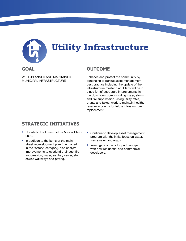

## **Utility Infrastructure**

#### **GOAL**

WELL-PLANNED AND MAINTAINED MUNICIPAL INFRASTRUCTURE

#### **OUTCOME**

Enhance and protect the community by continuing to pursue asset management best practice including the update of the infrastructure master plan. Plans will be in place for infrastructure improvements in the downtown core including water, storm and fire suppression. Using utility rates, grants and taxes, work to maintain healthy reserve accounts for future infrastructure replacement.

- Update to the Infrastructure Master Plan in 2022.
- In addition to the items of the main street redevelopment plan (mentioned in the "safety" category), also analyze improvements to overland drainage, fire suppression, water, sanitary sewer, storm sewer, walkways and paving.
- Continue to develop asset management program with the initial focus on water, wastewater, and roads.
- Investigate options for partnerships with new residential and commercial developers.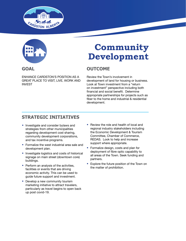



#### **GOAL**

ENHANCE CARDSTON'S POSITION AS A GREAT PLACE TO VISIT, LIVE, WORK AND INVEST

### **Community Development**

### **OUTCOME**

Review the Town's involvement in development of land for housing or business. Look at Town investment from a "return on investment" perspective including both financial and social benefit. Determine appropriate partnerships for projects such as fiber to the home and industrial & residential development.

- Investigate and consider bylaws and strategies from other municipalities regarding development cost sharing, community development corporations, and tax incentive programs.
- Formalize the west industrial area sale and development plan.
- Investigate logistics and costs of historical signage on main street (downtown core) buildings.
- Perform an analysis of the activities, facilities or events that are driving economic activity. This can be used to guide future support and investment.
- Develop a new community tourism marketing initiative to attract travelers, particularly as travel begins to open back up post covid-19.
- Review the role and health of local and regional industry stakeholders including the Economic Development & Tourism Committee, Chamber of Commerce, REDAS. Look to help and increase support where appropriate.
- Formalize design, costs and plan for deployment of fibre optic capability to all areas of the Town. Seek funding and partners.
- Explore the future position of the Town on the matter of prohibition.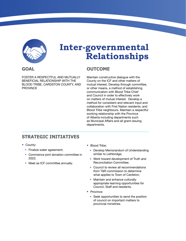

### **Inter-governmental Relationships**

#### **GOAL**

FOSTER A RESPECTFUL AND MUTUALLY BENEFICIAL RELATIONSHIP WITH THE BLOOD TRIBE, CARDSTON COUNTY, AND PROVINCE

#### **OUTCOME**

Maintain constructive dialogue with the County on the ICF and other matters of mutual interest. Develop through committee, or other means, a method of establishing communication with Blood Tribe Chief and Council in order to effectively work on matters of mutual interest. Develop a method for consistent and relevant input and collaboration with First Nation residents, and Blood Tribe neighbours. Maintain a respectful working relationship with the Province of Alberta including departments such as Municipal Affairs and all grant-issuing departments.

- County:
	- \* Finalize water agreement;
	- \* Commence joint donation committee in 2022;
	- \* Meet as ICF committee annually.
- Blood Tribe:
	- \* Develop Memorandum of Understanding similar to Lethbridge;
	- \* Work toward development of Truth and Reconciliation Committee;
	- \* Council to review all recommendations from T&R commission to determine what applies to Town of Cardston;
	- \* Maintain and enhance culturally appropriate learning opportunities for Council, Staff and residents.
- Province:
	- \* Seek opportunities to send the position of council on important matters to provincial ministries.